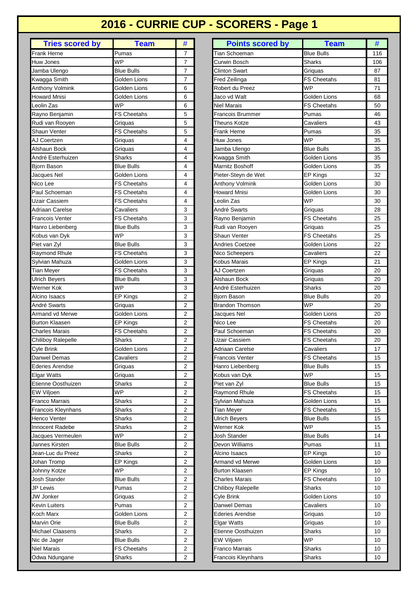# **2016 - CURRIE CUP - SCORERS - Page 1**

| Frank Herne<br>Pumas<br>7<br><b>WP</b><br>7<br>Huw Jones<br><b>Blue Bulls</b><br>7<br>Jamba Ulengo<br>Kwagga Smith<br>Golden Lions<br>7<br>Anthony Volmink<br>Golden Lions<br>6<br><b>Howard Mnisi</b><br>Golden Lions<br>6<br>Leolin Zas<br><b>WP</b><br>6<br><b>FS Cheetahs</b><br>5<br>Rayno Benjamin<br>Rudi van Rooyen<br>Griquas<br>5<br><b>FS Cheetahs</b><br>Shaun Venter<br>5<br>AJ Coertzen<br>4<br>Griquas<br>Alshaun Bock<br>4<br>Griquas<br>André Esterhuizen<br>Sharks<br>4<br><b>Blue Bulls</b><br>4<br>Bjorn Bason<br>Golden Lions<br>Jacques Nel<br>4<br>Nico Lee<br><b>FS Cheetahs</b><br>4<br>Paul Schoeman<br><b>FS Cheetahs</b><br>4<br>Uzair Cassiem<br><b>FS Cheetahs</b><br>4<br>3<br>Adriaan Carelse<br>Cavaliers<br>Francois Venter<br><b>FS Cheetahs</b><br>3<br>3<br>Hanro Liebenberg<br><b>Blue Bulls</b><br><b>WP</b><br>3<br>Kobus van Dyk<br>Piet van Zyl<br><b>Blue Bulls</b><br>3<br>3<br>Raymond Rhule<br><b>FS Cheetahs</b><br>3<br>Sylvian Mahuza<br>Golden Lions<br><b>FS Cheetahs</b><br>3<br>Tian Meyer<br>3<br><b>Ulrich Beyers</b><br><b>Blue Bulls</b><br>Werner Kok<br>3<br>WP<br>2<br>EP Kings<br>Alcino Isaacs<br>André Swarts<br>2<br>Griquas<br>Golden Lions<br>Armand vd Merwe<br>2<br><b>Burton Klaasen</b><br>EP Kings<br>2<br><b>FS Cheetahs</b><br>Charles Marais<br>2<br>Chiliboy Ralepelle<br>Sharks<br>2<br>$\overline{c}$<br>Cyle Brink<br>Golden Lions<br>Danwel Demas<br>Cavaliers<br>2<br>Ederies Arendse<br>2<br>Griguas<br><b>Elgar Watts</b><br>Griquas<br>2<br>Etienne Oosthuizen<br><b>Sharks</b><br>2<br>EW Viljoen<br><b>WP</b><br>$\overline{2}$<br>Franco Marrais<br>Sharks<br>2<br>Francois Kleynhans<br>Sharks<br>2<br>Sharks<br>Henco Venter<br>2<br>$\overline{c}$<br><b>Innocent Radebe</b><br>Sharks<br>WP<br>$\overline{c}$<br>Jacques Vermeulen<br><b>Blue Bulls</b><br>Jannes Kirsten<br>2<br>Jean-Luc du Preez<br>Sharks<br>2<br>EP Kings<br>2<br>Johan Tromp<br><b>WP</b><br>$\overline{2}$<br>Johnny Kotze<br><b>Josh Stander</b><br><b>Blue Bulls</b><br>2<br>$\overline{2}$<br>JP Lewis<br>Pumas<br>$\overline{c}$<br>JW Jonker<br>Griquas<br>Kevin Luiters<br>2<br>Pumas<br>Golden Lions<br>2<br>Koch Marx<br><b>Blue Bulls</b><br>Marvin Orie<br>2<br>2<br>Michael Claasens<br>Sharks<br><b>Blue Bulls</b><br>Nic de Jager<br>2<br><b>Niel Marais</b><br><b>FS Cheetahs</b><br>2 |                        |               |                |
|-----------------------------------------------------------------------------------------------------------------------------------------------------------------------------------------------------------------------------------------------------------------------------------------------------------------------------------------------------------------------------------------------------------------------------------------------------------------------------------------------------------------------------------------------------------------------------------------------------------------------------------------------------------------------------------------------------------------------------------------------------------------------------------------------------------------------------------------------------------------------------------------------------------------------------------------------------------------------------------------------------------------------------------------------------------------------------------------------------------------------------------------------------------------------------------------------------------------------------------------------------------------------------------------------------------------------------------------------------------------------------------------------------------------------------------------------------------------------------------------------------------------------------------------------------------------------------------------------------------------------------------------------------------------------------------------------------------------------------------------------------------------------------------------------------------------------------------------------------------------------------------------------------------------------------------------------------------------------------------------------------------------------------------------------------------------------------------------------------------------------------------------------------------------------------------------------------------------------------------------------------------------------------------------------------------------------------------------------------------------------|------------------------|---------------|----------------|
|                                                                                                                                                                                                                                                                                                                                                                                                                                                                                                                                                                                                                                                                                                                                                                                                                                                                                                                                                                                                                                                                                                                                                                                                                                                                                                                                                                                                                                                                                                                                                                                                                                                                                                                                                                                                                                                                                                                                                                                                                                                                                                                                                                                                                                                                                                                                                                       | <b>Tries scored by</b> | <b>Team</b>   | #              |
|                                                                                                                                                                                                                                                                                                                                                                                                                                                                                                                                                                                                                                                                                                                                                                                                                                                                                                                                                                                                                                                                                                                                                                                                                                                                                                                                                                                                                                                                                                                                                                                                                                                                                                                                                                                                                                                                                                                                                                                                                                                                                                                                                                                                                                                                                                                                                                       |                        |               |                |
|                                                                                                                                                                                                                                                                                                                                                                                                                                                                                                                                                                                                                                                                                                                                                                                                                                                                                                                                                                                                                                                                                                                                                                                                                                                                                                                                                                                                                                                                                                                                                                                                                                                                                                                                                                                                                                                                                                                                                                                                                                                                                                                                                                                                                                                                                                                                                                       |                        |               |                |
|                                                                                                                                                                                                                                                                                                                                                                                                                                                                                                                                                                                                                                                                                                                                                                                                                                                                                                                                                                                                                                                                                                                                                                                                                                                                                                                                                                                                                                                                                                                                                                                                                                                                                                                                                                                                                                                                                                                                                                                                                                                                                                                                                                                                                                                                                                                                                                       |                        |               |                |
|                                                                                                                                                                                                                                                                                                                                                                                                                                                                                                                                                                                                                                                                                                                                                                                                                                                                                                                                                                                                                                                                                                                                                                                                                                                                                                                                                                                                                                                                                                                                                                                                                                                                                                                                                                                                                                                                                                                                                                                                                                                                                                                                                                                                                                                                                                                                                                       |                        |               |                |
|                                                                                                                                                                                                                                                                                                                                                                                                                                                                                                                                                                                                                                                                                                                                                                                                                                                                                                                                                                                                                                                                                                                                                                                                                                                                                                                                                                                                                                                                                                                                                                                                                                                                                                                                                                                                                                                                                                                                                                                                                                                                                                                                                                                                                                                                                                                                                                       |                        |               |                |
|                                                                                                                                                                                                                                                                                                                                                                                                                                                                                                                                                                                                                                                                                                                                                                                                                                                                                                                                                                                                                                                                                                                                                                                                                                                                                                                                                                                                                                                                                                                                                                                                                                                                                                                                                                                                                                                                                                                                                                                                                                                                                                                                                                                                                                                                                                                                                                       |                        |               |                |
|                                                                                                                                                                                                                                                                                                                                                                                                                                                                                                                                                                                                                                                                                                                                                                                                                                                                                                                                                                                                                                                                                                                                                                                                                                                                                                                                                                                                                                                                                                                                                                                                                                                                                                                                                                                                                                                                                                                                                                                                                                                                                                                                                                                                                                                                                                                                                                       |                        |               |                |
|                                                                                                                                                                                                                                                                                                                                                                                                                                                                                                                                                                                                                                                                                                                                                                                                                                                                                                                                                                                                                                                                                                                                                                                                                                                                                                                                                                                                                                                                                                                                                                                                                                                                                                                                                                                                                                                                                                                                                                                                                                                                                                                                                                                                                                                                                                                                                                       |                        |               |                |
|                                                                                                                                                                                                                                                                                                                                                                                                                                                                                                                                                                                                                                                                                                                                                                                                                                                                                                                                                                                                                                                                                                                                                                                                                                                                                                                                                                                                                                                                                                                                                                                                                                                                                                                                                                                                                                                                                                                                                                                                                                                                                                                                                                                                                                                                                                                                                                       |                        |               |                |
|                                                                                                                                                                                                                                                                                                                                                                                                                                                                                                                                                                                                                                                                                                                                                                                                                                                                                                                                                                                                                                                                                                                                                                                                                                                                                                                                                                                                                                                                                                                                                                                                                                                                                                                                                                                                                                                                                                                                                                                                                                                                                                                                                                                                                                                                                                                                                                       |                        |               |                |
|                                                                                                                                                                                                                                                                                                                                                                                                                                                                                                                                                                                                                                                                                                                                                                                                                                                                                                                                                                                                                                                                                                                                                                                                                                                                                                                                                                                                                                                                                                                                                                                                                                                                                                                                                                                                                                                                                                                                                                                                                                                                                                                                                                                                                                                                                                                                                                       |                        |               |                |
|                                                                                                                                                                                                                                                                                                                                                                                                                                                                                                                                                                                                                                                                                                                                                                                                                                                                                                                                                                                                                                                                                                                                                                                                                                                                                                                                                                                                                                                                                                                                                                                                                                                                                                                                                                                                                                                                                                                                                                                                                                                                                                                                                                                                                                                                                                                                                                       |                        |               |                |
|                                                                                                                                                                                                                                                                                                                                                                                                                                                                                                                                                                                                                                                                                                                                                                                                                                                                                                                                                                                                                                                                                                                                                                                                                                                                                                                                                                                                                                                                                                                                                                                                                                                                                                                                                                                                                                                                                                                                                                                                                                                                                                                                                                                                                                                                                                                                                                       |                        |               |                |
|                                                                                                                                                                                                                                                                                                                                                                                                                                                                                                                                                                                                                                                                                                                                                                                                                                                                                                                                                                                                                                                                                                                                                                                                                                                                                                                                                                                                                                                                                                                                                                                                                                                                                                                                                                                                                                                                                                                                                                                                                                                                                                                                                                                                                                                                                                                                                                       |                        |               |                |
|                                                                                                                                                                                                                                                                                                                                                                                                                                                                                                                                                                                                                                                                                                                                                                                                                                                                                                                                                                                                                                                                                                                                                                                                                                                                                                                                                                                                                                                                                                                                                                                                                                                                                                                                                                                                                                                                                                                                                                                                                                                                                                                                                                                                                                                                                                                                                                       |                        |               |                |
|                                                                                                                                                                                                                                                                                                                                                                                                                                                                                                                                                                                                                                                                                                                                                                                                                                                                                                                                                                                                                                                                                                                                                                                                                                                                                                                                                                                                                                                                                                                                                                                                                                                                                                                                                                                                                                                                                                                                                                                                                                                                                                                                                                                                                                                                                                                                                                       |                        |               |                |
|                                                                                                                                                                                                                                                                                                                                                                                                                                                                                                                                                                                                                                                                                                                                                                                                                                                                                                                                                                                                                                                                                                                                                                                                                                                                                                                                                                                                                                                                                                                                                                                                                                                                                                                                                                                                                                                                                                                                                                                                                                                                                                                                                                                                                                                                                                                                                                       |                        |               |                |
|                                                                                                                                                                                                                                                                                                                                                                                                                                                                                                                                                                                                                                                                                                                                                                                                                                                                                                                                                                                                                                                                                                                                                                                                                                                                                                                                                                                                                                                                                                                                                                                                                                                                                                                                                                                                                                                                                                                                                                                                                                                                                                                                                                                                                                                                                                                                                                       |                        |               |                |
|                                                                                                                                                                                                                                                                                                                                                                                                                                                                                                                                                                                                                                                                                                                                                                                                                                                                                                                                                                                                                                                                                                                                                                                                                                                                                                                                                                                                                                                                                                                                                                                                                                                                                                                                                                                                                                                                                                                                                                                                                                                                                                                                                                                                                                                                                                                                                                       |                        |               |                |
|                                                                                                                                                                                                                                                                                                                                                                                                                                                                                                                                                                                                                                                                                                                                                                                                                                                                                                                                                                                                                                                                                                                                                                                                                                                                                                                                                                                                                                                                                                                                                                                                                                                                                                                                                                                                                                                                                                                                                                                                                                                                                                                                                                                                                                                                                                                                                                       |                        |               |                |
|                                                                                                                                                                                                                                                                                                                                                                                                                                                                                                                                                                                                                                                                                                                                                                                                                                                                                                                                                                                                                                                                                                                                                                                                                                                                                                                                                                                                                                                                                                                                                                                                                                                                                                                                                                                                                                                                                                                                                                                                                                                                                                                                                                                                                                                                                                                                                                       |                        |               |                |
|                                                                                                                                                                                                                                                                                                                                                                                                                                                                                                                                                                                                                                                                                                                                                                                                                                                                                                                                                                                                                                                                                                                                                                                                                                                                                                                                                                                                                                                                                                                                                                                                                                                                                                                                                                                                                                                                                                                                                                                                                                                                                                                                                                                                                                                                                                                                                                       |                        |               |                |
|                                                                                                                                                                                                                                                                                                                                                                                                                                                                                                                                                                                                                                                                                                                                                                                                                                                                                                                                                                                                                                                                                                                                                                                                                                                                                                                                                                                                                                                                                                                                                                                                                                                                                                                                                                                                                                                                                                                                                                                                                                                                                                                                                                                                                                                                                                                                                                       |                        |               |                |
|                                                                                                                                                                                                                                                                                                                                                                                                                                                                                                                                                                                                                                                                                                                                                                                                                                                                                                                                                                                                                                                                                                                                                                                                                                                                                                                                                                                                                                                                                                                                                                                                                                                                                                                                                                                                                                                                                                                                                                                                                                                                                                                                                                                                                                                                                                                                                                       |                        |               |                |
|                                                                                                                                                                                                                                                                                                                                                                                                                                                                                                                                                                                                                                                                                                                                                                                                                                                                                                                                                                                                                                                                                                                                                                                                                                                                                                                                                                                                                                                                                                                                                                                                                                                                                                                                                                                                                                                                                                                                                                                                                                                                                                                                                                                                                                                                                                                                                                       |                        |               |                |
|                                                                                                                                                                                                                                                                                                                                                                                                                                                                                                                                                                                                                                                                                                                                                                                                                                                                                                                                                                                                                                                                                                                                                                                                                                                                                                                                                                                                                                                                                                                                                                                                                                                                                                                                                                                                                                                                                                                                                                                                                                                                                                                                                                                                                                                                                                                                                                       |                        |               |                |
|                                                                                                                                                                                                                                                                                                                                                                                                                                                                                                                                                                                                                                                                                                                                                                                                                                                                                                                                                                                                                                                                                                                                                                                                                                                                                                                                                                                                                                                                                                                                                                                                                                                                                                                                                                                                                                                                                                                                                                                                                                                                                                                                                                                                                                                                                                                                                                       |                        |               |                |
|                                                                                                                                                                                                                                                                                                                                                                                                                                                                                                                                                                                                                                                                                                                                                                                                                                                                                                                                                                                                                                                                                                                                                                                                                                                                                                                                                                                                                                                                                                                                                                                                                                                                                                                                                                                                                                                                                                                                                                                                                                                                                                                                                                                                                                                                                                                                                                       |                        |               |                |
|                                                                                                                                                                                                                                                                                                                                                                                                                                                                                                                                                                                                                                                                                                                                                                                                                                                                                                                                                                                                                                                                                                                                                                                                                                                                                                                                                                                                                                                                                                                                                                                                                                                                                                                                                                                                                                                                                                                                                                                                                                                                                                                                                                                                                                                                                                                                                                       |                        |               |                |
|                                                                                                                                                                                                                                                                                                                                                                                                                                                                                                                                                                                                                                                                                                                                                                                                                                                                                                                                                                                                                                                                                                                                                                                                                                                                                                                                                                                                                                                                                                                                                                                                                                                                                                                                                                                                                                                                                                                                                                                                                                                                                                                                                                                                                                                                                                                                                                       |                        |               |                |
|                                                                                                                                                                                                                                                                                                                                                                                                                                                                                                                                                                                                                                                                                                                                                                                                                                                                                                                                                                                                                                                                                                                                                                                                                                                                                                                                                                                                                                                                                                                                                                                                                                                                                                                                                                                                                                                                                                                                                                                                                                                                                                                                                                                                                                                                                                                                                                       |                        |               |                |
|                                                                                                                                                                                                                                                                                                                                                                                                                                                                                                                                                                                                                                                                                                                                                                                                                                                                                                                                                                                                                                                                                                                                                                                                                                                                                                                                                                                                                                                                                                                                                                                                                                                                                                                                                                                                                                                                                                                                                                                                                                                                                                                                                                                                                                                                                                                                                                       |                        |               |                |
|                                                                                                                                                                                                                                                                                                                                                                                                                                                                                                                                                                                                                                                                                                                                                                                                                                                                                                                                                                                                                                                                                                                                                                                                                                                                                                                                                                                                                                                                                                                                                                                                                                                                                                                                                                                                                                                                                                                                                                                                                                                                                                                                                                                                                                                                                                                                                                       |                        |               |                |
|                                                                                                                                                                                                                                                                                                                                                                                                                                                                                                                                                                                                                                                                                                                                                                                                                                                                                                                                                                                                                                                                                                                                                                                                                                                                                                                                                                                                                                                                                                                                                                                                                                                                                                                                                                                                                                                                                                                                                                                                                                                                                                                                                                                                                                                                                                                                                                       |                        |               |                |
|                                                                                                                                                                                                                                                                                                                                                                                                                                                                                                                                                                                                                                                                                                                                                                                                                                                                                                                                                                                                                                                                                                                                                                                                                                                                                                                                                                                                                                                                                                                                                                                                                                                                                                                                                                                                                                                                                                                                                                                                                                                                                                                                                                                                                                                                                                                                                                       |                        |               |                |
|                                                                                                                                                                                                                                                                                                                                                                                                                                                                                                                                                                                                                                                                                                                                                                                                                                                                                                                                                                                                                                                                                                                                                                                                                                                                                                                                                                                                                                                                                                                                                                                                                                                                                                                                                                                                                                                                                                                                                                                                                                                                                                                                                                                                                                                                                                                                                                       |                        |               |                |
|                                                                                                                                                                                                                                                                                                                                                                                                                                                                                                                                                                                                                                                                                                                                                                                                                                                                                                                                                                                                                                                                                                                                                                                                                                                                                                                                                                                                                                                                                                                                                                                                                                                                                                                                                                                                                                                                                                                                                                                                                                                                                                                                                                                                                                                                                                                                                                       |                        |               |                |
|                                                                                                                                                                                                                                                                                                                                                                                                                                                                                                                                                                                                                                                                                                                                                                                                                                                                                                                                                                                                                                                                                                                                                                                                                                                                                                                                                                                                                                                                                                                                                                                                                                                                                                                                                                                                                                                                                                                                                                                                                                                                                                                                                                                                                                                                                                                                                                       |                        |               |                |
|                                                                                                                                                                                                                                                                                                                                                                                                                                                                                                                                                                                                                                                                                                                                                                                                                                                                                                                                                                                                                                                                                                                                                                                                                                                                                                                                                                                                                                                                                                                                                                                                                                                                                                                                                                                                                                                                                                                                                                                                                                                                                                                                                                                                                                                                                                                                                                       |                        |               |                |
|                                                                                                                                                                                                                                                                                                                                                                                                                                                                                                                                                                                                                                                                                                                                                                                                                                                                                                                                                                                                                                                                                                                                                                                                                                                                                                                                                                                                                                                                                                                                                                                                                                                                                                                                                                                                                                                                                                                                                                                                                                                                                                                                                                                                                                                                                                                                                                       |                        |               |                |
|                                                                                                                                                                                                                                                                                                                                                                                                                                                                                                                                                                                                                                                                                                                                                                                                                                                                                                                                                                                                                                                                                                                                                                                                                                                                                                                                                                                                                                                                                                                                                                                                                                                                                                                                                                                                                                                                                                                                                                                                                                                                                                                                                                                                                                                                                                                                                                       |                        |               |                |
|                                                                                                                                                                                                                                                                                                                                                                                                                                                                                                                                                                                                                                                                                                                                                                                                                                                                                                                                                                                                                                                                                                                                                                                                                                                                                                                                                                                                                                                                                                                                                                                                                                                                                                                                                                                                                                                                                                                                                                                                                                                                                                                                                                                                                                                                                                                                                                       |                        |               |                |
|                                                                                                                                                                                                                                                                                                                                                                                                                                                                                                                                                                                                                                                                                                                                                                                                                                                                                                                                                                                                                                                                                                                                                                                                                                                                                                                                                                                                                                                                                                                                                                                                                                                                                                                                                                                                                                                                                                                                                                                                                                                                                                                                                                                                                                                                                                                                                                       |                        |               |                |
|                                                                                                                                                                                                                                                                                                                                                                                                                                                                                                                                                                                                                                                                                                                                                                                                                                                                                                                                                                                                                                                                                                                                                                                                                                                                                                                                                                                                                                                                                                                                                                                                                                                                                                                                                                                                                                                                                                                                                                                                                                                                                                                                                                                                                                                                                                                                                                       |                        |               |                |
|                                                                                                                                                                                                                                                                                                                                                                                                                                                                                                                                                                                                                                                                                                                                                                                                                                                                                                                                                                                                                                                                                                                                                                                                                                                                                                                                                                                                                                                                                                                                                                                                                                                                                                                                                                                                                                                                                                                                                                                                                                                                                                                                                                                                                                                                                                                                                                       |                        |               |                |
|                                                                                                                                                                                                                                                                                                                                                                                                                                                                                                                                                                                                                                                                                                                                                                                                                                                                                                                                                                                                                                                                                                                                                                                                                                                                                                                                                                                                                                                                                                                                                                                                                                                                                                                                                                                                                                                                                                                                                                                                                                                                                                                                                                                                                                                                                                                                                                       |                        |               |                |
|                                                                                                                                                                                                                                                                                                                                                                                                                                                                                                                                                                                                                                                                                                                                                                                                                                                                                                                                                                                                                                                                                                                                                                                                                                                                                                                                                                                                                                                                                                                                                                                                                                                                                                                                                                                                                                                                                                                                                                                                                                                                                                                                                                                                                                                                                                                                                                       |                        |               |                |
|                                                                                                                                                                                                                                                                                                                                                                                                                                                                                                                                                                                                                                                                                                                                                                                                                                                                                                                                                                                                                                                                                                                                                                                                                                                                                                                                                                                                                                                                                                                                                                                                                                                                                                                                                                                                                                                                                                                                                                                                                                                                                                                                                                                                                                                                                                                                                                       |                        |               |                |
|                                                                                                                                                                                                                                                                                                                                                                                                                                                                                                                                                                                                                                                                                                                                                                                                                                                                                                                                                                                                                                                                                                                                                                                                                                                                                                                                                                                                                                                                                                                                                                                                                                                                                                                                                                                                                                                                                                                                                                                                                                                                                                                                                                                                                                                                                                                                                                       |                        |               |                |
|                                                                                                                                                                                                                                                                                                                                                                                                                                                                                                                                                                                                                                                                                                                                                                                                                                                                                                                                                                                                                                                                                                                                                                                                                                                                                                                                                                                                                                                                                                                                                                                                                                                                                                                                                                                                                                                                                                                                                                                                                                                                                                                                                                                                                                                                                                                                                                       |                        |               |                |
|                                                                                                                                                                                                                                                                                                                                                                                                                                                                                                                                                                                                                                                                                                                                                                                                                                                                                                                                                                                                                                                                                                                                                                                                                                                                                                                                                                                                                                                                                                                                                                                                                                                                                                                                                                                                                                                                                                                                                                                                                                                                                                                                                                                                                                                                                                                                                                       |                        |               |                |
|                                                                                                                                                                                                                                                                                                                                                                                                                                                                                                                                                                                                                                                                                                                                                                                                                                                                                                                                                                                                                                                                                                                                                                                                                                                                                                                                                                                                                                                                                                                                                                                                                                                                                                                                                                                                                                                                                                                                                                                                                                                                                                                                                                                                                                                                                                                                                                       |                        |               |                |
|                                                                                                                                                                                                                                                                                                                                                                                                                                                                                                                                                                                                                                                                                                                                                                                                                                                                                                                                                                                                                                                                                                                                                                                                                                                                                                                                                                                                                                                                                                                                                                                                                                                                                                                                                                                                                                                                                                                                                                                                                                                                                                                                                                                                                                                                                                                                                                       |                        |               |                |
|                                                                                                                                                                                                                                                                                                                                                                                                                                                                                                                                                                                                                                                                                                                                                                                                                                                                                                                                                                                                                                                                                                                                                                                                                                                                                                                                                                                                                                                                                                                                                                                                                                                                                                                                                                                                                                                                                                                                                                                                                                                                                                                                                                                                                                                                                                                                                                       |                        |               |                |
|                                                                                                                                                                                                                                                                                                                                                                                                                                                                                                                                                                                                                                                                                                                                                                                                                                                                                                                                                                                                                                                                                                                                                                                                                                                                                                                                                                                                                                                                                                                                                                                                                                                                                                                                                                                                                                                                                                                                                                                                                                                                                                                                                                                                                                                                                                                                                                       |                        |               |                |
|                                                                                                                                                                                                                                                                                                                                                                                                                                                                                                                                                                                                                                                                                                                                                                                                                                                                                                                                                                                                                                                                                                                                                                                                                                                                                                                                                                                                                                                                                                                                                                                                                                                                                                                                                                                                                                                                                                                                                                                                                                                                                                                                                                                                                                                                                                                                                                       |                        |               |                |
|                                                                                                                                                                                                                                                                                                                                                                                                                                                                                                                                                                                                                                                                                                                                                                                                                                                                                                                                                                                                                                                                                                                                                                                                                                                                                                                                                                                                                                                                                                                                                                                                                                                                                                                                                                                                                                                                                                                                                                                                                                                                                                                                                                                                                                                                                                                                                                       |                        |               |                |
|                                                                                                                                                                                                                                                                                                                                                                                                                                                                                                                                                                                                                                                                                                                                                                                                                                                                                                                                                                                                                                                                                                                                                                                                                                                                                                                                                                                                                                                                                                                                                                                                                                                                                                                                                                                                                                                                                                                                                                                                                                                                                                                                                                                                                                                                                                                                                                       |                        |               |                |
|                                                                                                                                                                                                                                                                                                                                                                                                                                                                                                                                                                                                                                                                                                                                                                                                                                                                                                                                                                                                                                                                                                                                                                                                                                                                                                                                                                                                                                                                                                                                                                                                                                                                                                                                                                                                                                                                                                                                                                                                                                                                                                                                                                                                                                                                                                                                                                       |                        |               |                |
|                                                                                                                                                                                                                                                                                                                                                                                                                                                                                                                                                                                                                                                                                                                                                                                                                                                                                                                                                                                                                                                                                                                                                                                                                                                                                                                                                                                                                                                                                                                                                                                                                                                                                                                                                                                                                                                                                                                                                                                                                                                                                                                                                                                                                                                                                                                                                                       | Odwa Ndungane          | <b>Sharks</b> | $\overline{c}$ |

| <b>Tries scored by</b>    | <b>Team</b>        | #              | <b>Points scored by</b> | <b>Team</b>        | #   |
|---------------------------|--------------------|----------------|-------------------------|--------------------|-----|
| Frank Herne               | Pumas              | $\overline{7}$ | Tian Schoeman           | <b>Blue Bulls</b>  | 116 |
| Huw Jones                 | <b>WP</b>          | $\overline{7}$ | Curwin Bosch            | Sharks             | 106 |
| Jamba Ulengo              | <b>Blue Bulls</b>  | $\overline{7}$ | <b>Clinton Swart</b>    | Griguas            | 87  |
| Kwagga Smith              | Golden Lions       | $\overline{7}$ | Fred Zeilinga           | <b>FS Cheetahs</b> | 81  |
| Anthony Volmink           | Golden Lions       | 6              | Robert du Preez         | <b>WP</b>          | 71  |
| Howard Mnisi              | Golden Lions       | 6              | Jaco vd Walt            | Golden Lions       | 68  |
| Leolin Zas                | WP                 | 6              | Niel Marais             | <b>FS Cheetahs</b> | 50  |
| Rayno Benjamin            | FS Cheetahs        | 5              | Francois Brummer        | Pumas              | 46  |
| Rudi van Rooyen           | Griquas            | 5              | <b>Theuns Kotze</b>     | Cavaliers          | 43  |
| Shaun Venter              | FS Cheetahs        | 5              | Frank Herne             | Pumas              | 35  |
| AJ Coertzen               | Griquas            | 4              | Huw Jones               | <b>WP</b>          | 35  |
| Alshaun Bock              | Griquas            | 4              | Jamba Ulengo            | <b>Blue Bulls</b>  | 35  |
| André Esterhuizen         | Sharks             | 4              | Kwagga Smith            | Golden Lions       | 35  |
| Bjorn Bason               | Blue Bulls         | 4              | Marnitz Boshoff         | Golden Lions       | 35  |
| Jacques Nel               | Golden Lions       | 4              | Pieter-Steyn de Wet     | <b>EP Kings</b>    | 32  |
| Nico Lee                  | <b>FS Cheetahs</b> | 4              | Anthony Volmink         | Golden Lions       | 30  |
| Paul Schoeman             | <b>FS Cheetahs</b> | $\overline{4}$ | <b>Howard Mnisi</b>     | Golden Lions       | 30  |
| <b>Uzair Cassiem</b>      | <b>FS Cheetahs</b> | 4              | Leolin Zas              | <b>WP</b>          | 30  |
| Adriaan Carelse           | Cavaliers          | 3              | André Swarts            | Griquas            | 28  |
| <b>Francois Venter</b>    | <b>FS Cheetahs</b> | 3              | Rayno Benjamin          | <b>FS Cheetahs</b> | 25  |
| Hanro Liebenberg          | Blue Bulls         | 3              | Rudi van Rooyen         | Griquas            | 25  |
| Kobus van Dyk             | <b>WP</b>          | 3              | <b>Shaun Venter</b>     | <b>FS Cheetahs</b> | 25  |
| Piet van Zyl              | <b>Blue Bulls</b>  | 3              | Andries Coetzee         | Golden Lions       | 22  |
| <b>Raymond Rhule</b>      | <b>FS Cheetahs</b> | 3              | Nico Scheepers          | Cavaliers          | 22  |
| Sylvian Mahuza            | Golden Lions       | 3              | Kobus Marais            | <b>EP Kings</b>    | 21  |
| <b>Tian Meyer</b>         | <b>FS Cheetahs</b> | 3              | AJ Coertzen             | Griquas            | 20  |
| <b>Ulrich Beyers</b>      | <b>Blue Bulls</b>  | 3              | Alshaun Bock            | Griquas            | 20  |
| Werner Kok                | WP                 | 3              | André Esterhuizen       | Sharks             | 20  |
| Alcino Isaacs             | EP Kings           | $\overline{2}$ | Bjorn Bason             | <b>Blue Bulls</b>  | 20  |
| André Swarts              | Griquas            | 2              | <b>Brandon Thomson</b>  | <b>WP</b>          | 20  |
| <b>Armand vd Merwe</b>    | Golden Lions       | $\overline{2}$ | Jacques Nel             | Golden Lions       | 20  |
| <b>Burton Klaasen</b>     | EP Kings           | $\overline{2}$ | Nico Lee                | <b>FS Cheetahs</b> | 20  |
| <b>Charles Marais</b>     | <b>FS Cheetahs</b> | 2              | Paul Schoeman           | <b>FS Cheetahs</b> | 20  |
| Chiliboy Ralepelle        | Sharks             | 2              | Uzair Cassiem           | <b>FS Cheetahs</b> | 20  |
| Cyle Brink                | Golden Lions       | $\overline{2}$ | <b>Adriaan Carelse</b>  | Cavaliers          | 17  |
| <b>Danwel Demas</b>       | Cavaliers          | 2              | <b>Francois Venter</b>  | <b>FS Cheetahs</b> | 15  |
| <b>Ederies Arendse</b>    | Griguas            | 2              | Hanro Liebenberg        | <b>Blue Bulls</b>  | 15  |
| <b>Elgar Watts</b>        | Griquas            | 2              | Kobus van Dyk           | <b>WP</b>          | 15  |
| Etienne Oosthuizen        | Sharks             | 2              | Piet van Zvl            | <b>Blue Bulls</b>  | 15  |
| <b>EW Viljoen</b>         | WP                 | 2              | Raymond Rhule           | <b>FS Cheetahs</b> | 15  |
| Franco Marrais            | <b>Sharks</b>      | 2              | Sylvian Mahuza          | Golden Lions       | 15  |
| <b>Francois Kleynhans</b> | <b>Sharks</b>      | $\overline{2}$ | <b>Tian Meyer</b>       | <b>FS Cheetahs</b> | 15  |
| Henco Venter              | Sharks             | 2              | <b>Ulrich Beyers</b>    | <b>Blue Bulls</b>  | 15  |
| Innocent Radebe           | Sharks             | 2              | Werner Kok              | <b>WP</b>          | 15  |
| Jacques Vermeulen         | <b>WP</b>          | 2              | <b>Josh Stander</b>     | <b>Blue Bulls</b>  | 14  |
| Jannes Kirsten            | <b>Blue Bulls</b>  | 2              | Devon Williams          | Pumas              | 11  |
| Jean-Luc du Preez         | Sharks             | 2              | Alcino Isaacs           | EP Kings           | 10  |
| Johan Tromp               | EP Kings           | 2              | <b>Armand vd Merwe</b>  | Golden Lions       | 10  |
| Johnny Kotze              | WP                 | 2              | <b>Burton Klaasen</b>   | <b>EP Kings</b>    | 10  |
| <b>Josh Stander</b>       | <b>Blue Bulls</b>  | 2              | <b>Charles Marais</b>   | <b>FS Cheetahs</b> | 10  |
| JP Lewis                  | Pumas              | 2              | Chiliboy Ralepelle      | <b>Sharks</b>      | 10  |
| JW Jonker                 | Griquas            | 2              | <b>Cyle Brink</b>       | Golden Lions       | 10  |
| Kevin Luiters             | Pumas              | 2              | Danwel Demas            | Cavaliers          | 10  |
| Koch Marx                 | Golden Lions       | 2              | <b>Ederies Arendse</b>  | Griquas            | 10  |
| Marvin Orie               | Blue Bulls         | 2              | <b>Elgar Watts</b>      | Griguas            | 10  |
| Michael Claasens          | <b>Sharks</b>      | 2              | Etienne Oosthuizen      | Sharks             | 10  |
| Nic de Jager              | <b>Blue Bulls</b>  | 2              | EW Viljoen              | <b>WP</b>          | 10  |
| Niel Marais               | FS Cheetahs        | 2              | <b>Franco Marrais</b>   | Sharks             | 10  |
| Odwa Ndungane             | Sharks             | 2              | Francois Kleynhans      | Sharks             | 10  |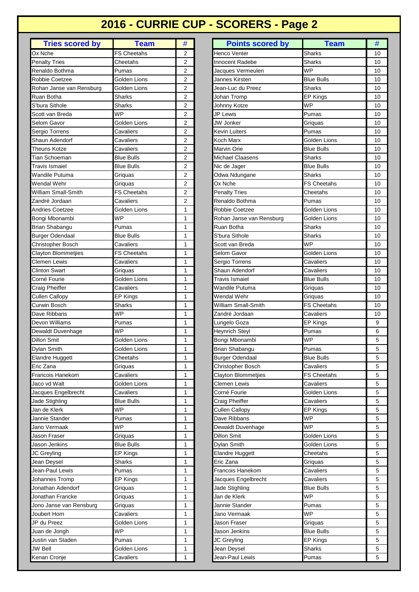# **2016 - CURRIE CUP - SCORERS - Page 2**

| <b>Tries scored by</b>   | <b>Team</b>        | #              |
|--------------------------|--------------------|----------------|
| Ox Nche                  | FS Cheetahs        | 2              |
| <b>Penalty Tries</b>     | Cheetahs           | 2              |
| Renaldo Bothma           | Pumas              | 2              |
| Robbie Coetzee           | Golden Lions       | $\overline{2}$ |
| Rohan Janse van Rensburg | Golden Lions       | 2              |
| Ruan Botha               | Sharks             | 2              |
| S'bura Sithole           | <b>Sharks</b>      | $\overline{2}$ |
| Scott van Breda          | <b>WP</b>          | 2              |
| Selom Gavor              | Golden Lions       | 2              |
| Sergio Torrens           | Cavaliers          | 2              |
| Shaun Adendorf           | Cavaliers          | 2              |
| Theuns Kotze             | Cavaliers          | 2              |
| Tian Schoeman            | <b>Blue Bulls</b>  | 2              |
| Travis Ismaiel           | <b>Blue Bulls</b>  | 2              |
| Wandile Putuma           | Griquas            | 2              |
| Wendal Wehr              | Griquas            | 2              |
| William Small-Smith      | <b>FS Cheetahs</b> | 2              |
| Zandré Jordaan           | Cavaliers          | 2              |
| Andries Coetzee          | Golden Lions       | 1              |
| Bongi Mbonambi           | WP                 | 1              |
| Brian Shabangu           | Pumas              | 1              |
| <b>Burger Odendaal</b>   | <b>Blue Bulls</b>  | 1              |
|                          | Cavaliers          | 1              |
| Christopher Bosch        | <b>FS Cheetahs</b> | 1              |
| Clayton Blommetjies      |                    |                |
| Clemen Lewis             | Cavaliers          | 1              |
| Clinton Swart            | Griquas            | 1              |
| Corné Fourie             | Golden Lions       | 1              |
| Craig Pheiffer           | Cavaliers          | 1              |
| Cullen Callopy           | EP Kings           | 1              |
| Curwin Bosch             | Sharks             | 1              |
| Dave Ribbans             | <b>WP</b>          | 1              |
| Devon Williams           | Pumas              | 1              |
| Dewaldt Duvenhage        | <b>WP</b>          | 1              |
| Dillon Smit              | Golden Lions       | 1              |
| Dylan Smith              | Golden Lions       | 1              |
| <b>Elandre Huggett</b>   | Cheetahs           | 1              |
| Eric Zana                | Griquas            | 1              |
| Francois Hanekom         | Cavaliers          | 1              |
| Jaco vd Walt             | Golden Lions       | 1              |
| Jacques Engelbrecht      | Cavaliers          | 1              |
| Jade Stighling           | <b>Blue Bulls</b>  | 1              |
| Jan de Klerk             | <b>WP</b>          | 1              |
| Jannie Stander           | Pumas              | 1              |
| Jano Vermaak             | <b>WP</b>          | 1              |
| Jason Fraser             | Griquas            | 1              |
| Jason Jenkins            | <b>Blue Bulls</b>  | 1              |
| JC Greyling              | EP Kings           | 1              |
| Jean Deysel              | Sharks             | 1              |
| Jean-Paul Lewis          | Pumas              | 1              |
| Johannes Tromp           | EP Kings           | 1              |
| Jonathan Adendorf        | Griquas            | 1              |
| Jonathan Francke         | Griquas            | 1              |
| Jono Janse van Rensburg  | Griquas            | 1              |
| Joubert Horn             | Cavaliers          | 1              |
| JP du Preez              | Golden Lions       | 1              |
| Juan de Jongh            | <b>WP</b>          | 1              |
|                          | Pumas              | 1              |
| Justin van Staden        |                    |                |
| JW Bell                  | Golden Lions       | 1              |
| Kenan Cronje             | Cavaliers          | 1              |

| <b>Tries scored by</b>     | <b>Team</b>        | #              | <b>Points scored by</b>    | <b>Team</b>        | #  |
|----------------------------|--------------------|----------------|----------------------------|--------------------|----|
| Ox Nche                    | <b>FS Cheetahs</b> | 2              | Henco Venter               | <b>Sharks</b>      | 10 |
| <b>Penalty Tries</b>       | Cheetahs           | $\overline{2}$ | <b>Innocent Radebe</b>     | <b>Sharks</b>      | 10 |
| Renaldo Bothma             | Pumas              | $\overline{2}$ | Jacques Vermeulen          | <b>WP</b>          | 10 |
| Robbie Coetzee             | Golden Lions       | $\overline{2}$ | Jannes Kirsten             | <b>Blue Bulls</b>  | 10 |
| Rohan Janse van Rensburg   | Golden Lions       | 2              | Jean-Luc du Preez          | Sharks             | 10 |
| Ruan Botha                 | Sharks             | 2              | Johan Tromp                | EP Kings           | 10 |
| S'bura Sithole             | <b>Sharks</b>      | $\overline{2}$ | Johnny Kotze               | <b>WP</b>          | 10 |
| Scott van Breda            | <b>WP</b>          | $\overline{2}$ | JP Lewis                   | Pumas              | 10 |
| Selom Gavor                | Golden Lions       | $\overline{2}$ | <b>JW</b> Jonker           | Griquas            | 10 |
| Sergio Torrens             | Cavaliers          | $\overline{2}$ | Kevin Luiters              | Pumas              | 10 |
| Shaun Adendorf             | Cavaliers          | $\overline{2}$ | Koch Marx                  | Golden Lions       | 10 |
| Theuns Kotze               | Cavaliers          | $\overline{2}$ | Marvin Orie                | <b>Blue Bulls</b>  | 10 |
| <b>Tian Schoeman</b>       | Blue Bulls         | $\overline{2}$ | Michael Claasens           | <b>Sharks</b>      | 10 |
| Travis Ismaiel             | Blue Bulls         | 2              | Nic de Jager               | <b>Blue Bulls</b>  | 10 |
| Wandile Putuma             | Griquas            | $\overline{2}$ | Odwa Ndungane              | Sharks             | 10 |
| Wendal Wehr                | Griquas            | $\overline{2}$ | Ox Nche                    | <b>FS Cheetahs</b> | 10 |
| <b>William Small-Smith</b> | <b>FS Cheetahs</b> | 2              | <b>Penalty Tries</b>       | Cheetahs           | 10 |
| Zandré Jordaan             | Cavaliers          | $\overline{2}$ | Renaldo Bothma             | Pumas              | 10 |
| <b>Andries Coetzee</b>     | Golden Lions       | 1              | <b>Robbie Coetzee</b>      | Golden Lions       | 10 |
| Bongi Mbonambi             | <b>WP</b>          | 1              | Rohan Janse van Rensburg   | Golden Lions       | 10 |
| Brian Shabangu             | Pumas              | $\mathbf{1}$   | Ruan Botha                 | Sharks             | 10 |
| <b>Burger Odendaal</b>     | <b>Blue Bulls</b>  | 1              | S'bura Sithole             | <b>Sharks</b>      | 10 |
| Christopher Bosch          | Cavaliers          | $\mathbf{1}$   | Scott van Breda            | <b>WP</b>          | 10 |
| Clayton Blommetjies        | <b>FS Cheetahs</b> | 1              | Selom Gavor                | Golden Lions       | 10 |
| Clemen Lewis               | Cavaliers          | 1              | Sergio Torrens             | Cavaliers          | 10 |
| <b>Clinton Swart</b>       | Griquas            | 1              | Shaun Adendorf             | Cavaliers          | 10 |
| Corné Fourie               | Golden Lions       | 1              | Travis Ismaiel             | <b>Blue Bulls</b>  | 10 |
| Craig Pheiffer             | Cavaliers          | 1              | <b>Wandile Putuma</b>      | Griquas            | 10 |
| <b>Cullen Callopy</b>      | EP Kings           | 1              | Wendal Wehr                | Griquas            | 10 |
| Curwin Bosch               | Sharks             | 1              | William Small-Smith        | <b>FS Cheetahs</b> | 10 |
| Dave Ribbans               | WP                 | 1              | Zandré Jordaan             | Cavaliers          | 10 |
| Devon Williams             | Pumas              | 1              | Lungelo Goza               | EP Kings           | 9  |
| Dewaldt Duvenhage          | WP                 | 1              | <b>Heynrich Steyl</b>      | Pumas              | 6  |
| <b>Dillon Smit</b>         | Golden Lions       | 1              | Bongi Mbonambi             | <b>WP</b>          | 5  |
| Dylan Smith                | Golden Lions       | 1              | Brian Shabangu             | Pumas              | 5  |
| Elandre Huggett            | Cheetahs           | 1              | <b>Burger Odendaal</b>     | <b>Blue Bulls</b>  | 5  |
| Eric Zana                  | Griguas            | $\mathbf{1}$   | Christopher Bosch          | Cavaliers          | 5  |
| Francois Hanekom           | Cavaliers          | 1              | <b>Clayton Blommetjies</b> | FS Cheetahs        | 5  |
| Jaco vd Walt               | Golden Lions       | 1              | Clemen Lewis               | Cavaliers          | 5  |
| Jacques Engelbrecht        | Cavaliers          | 1              | Corné Fourie               | Golden Lions       | 5  |
| Jade Stighling             | <b>Blue Bulls</b>  | 1              | Craig Pheiffer             | Cavaliers          | 5  |
| Jan de Klerk               | <b>WP</b>          | 1              | <b>Cullen Callopy</b>      | <b>EP Kings</b>    | 5  |
| Jannie Stander             | Pumas              | 1              | Dave Ribbans               | <b>WP</b>          | 5  |
| Jano Vermaak               | WP                 | 1              | Dewaldt Duvenhage          | WP                 | 5  |
| Jason Fraser               | Griguas            | 1              | Dillon Smit                | Golden Lions       | 5  |
| Jason Jenkins              | <b>Blue Bulls</b>  | 1              | Dylan Smith                | Golden Lions       | 5  |
| JC Greyling                | EP Kings           | 1              | Elandre Huggett            | Cheetahs           | 5  |
| Jean Deysel                | Sharks             | 1              | Eric Zana                  | Griquas            | 5  |
| Jean-Paul Lewis            | Pumas              | 1              | Francois Hanekom           | Cavaliers          | 5  |
| Johannes Tromp             | EP Kings           | 1              | Jacques Engelbrecht        | Cavaliers          | 5  |
| Jonathan Adendorf          | Griquas            | 1              | Jade Stighling             | <b>Blue Bulls</b>  | 5  |
| Jonathan Francke           | Griquas            | 1              | Jan de Klerk               | <b>WP</b>          | 5  |
| Jono Janse van Rensburg    | Griquas            | 1              | Jannie Stander             | Pumas              | 5  |
| Joubert Horn               | Cavaliers          | 1              | Jano Vermaak               | <b>WP</b>          | 5  |
| JP du Preez                | Golden Lions       | 1              | Jason Fraser               | Griquas            | 5  |
| Juan de Jongh              | <b>WP</b>          | 1              | Jason Jenkins              | <b>Blue Bulls</b>  | 5  |
| Justin van Staden          | Pumas              | 1              | JC Greyling                | EP Kings           | 5  |
| JW Bell                    | Golden Lions       | 1              | Jean Deysel                | Sharks             | 5  |
| Kenan Cronje               | Cavaliers          | 1              | Jean-Paul Lewis            | Pumas              | 5  |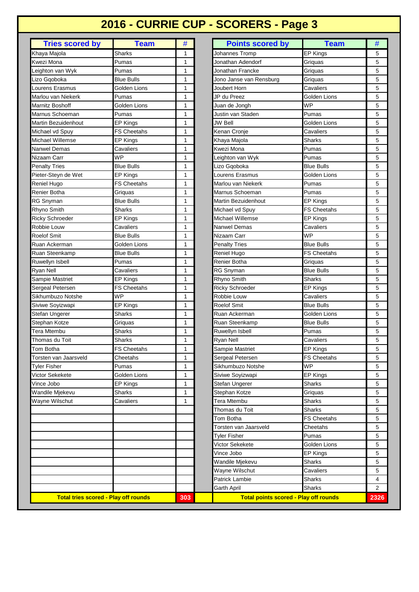## **2016 - CURRIE CUP - SCORERS - Page 3**

| <b>Tries scored by</b>                      | <b>Team</b>        | #            | <b>Points scored by</b>                      | <b>Team</b>                     | #                        |
|---------------------------------------------|--------------------|--------------|----------------------------------------------|---------------------------------|--------------------------|
| Khaya Majola                                | <b>Sharks</b>      | 1            | Johannes Tromp                               | EP Kings                        | 5                        |
| Kwezi Mona                                  | Pumas              | 1            | Jonathan Adendorf                            | Griguas                         | 5                        |
| Leighton van Wyk                            | Pumas              | 1            | Jonathan Francke                             | Griquas                         | 5                        |
| Lizo Gqoboka                                | <b>Blue Bulls</b>  | 1            | Jono Janse van Rensburg                      | Griguas                         | 5                        |
| Lourens Erasmus                             | Golden Lions       | 1            | Joubert Horn                                 | Cavaliers                       | 5                        |
| Marlou van Niekerk                          | Pumas              | 1            | JP du Preez                                  | Golden Lions                    | 5                        |
| Marnitz Boshoff                             | Golden Lions       | 1            | Juan de Jongh                                | <b>WP</b>                       | 5                        |
| Marnus Schoeman                             | Pumas              | 1            | Justin van Staden                            | Pumas                           | 5                        |
| Martin Bezuidenhout                         | EP Kings           | 1            | <b>JW Bell</b>                               | Golden Lions                    | 5                        |
| Michael vd Spuy                             | <b>FS Cheetahs</b> | 1            | Kenan Cronje                                 | Cavaliers                       | 5                        |
| Michael Willemse                            | EP Kings           | 1            | Khaya Majola                                 | Sharks                          | 5                        |
| Nanwel Demas                                | Cavaliers          | 1            | Kwezi Mona                                   | Pumas                           | 5                        |
| Nizaam Carr                                 | WP                 | 1            | Leighton van Wyk                             | Pumas                           | 5                        |
| <b>Penalty Tries</b>                        | <b>Blue Bulls</b>  | 1            | Lizo Gqoboka                                 | <b>Blue Bulls</b>               | 5                        |
| Pieter-Steyn de Wet                         | <b>EP Kings</b>    | 1            | Lourens Erasmus                              | Golden Lions                    | 5                        |
| Reniel Hugo                                 | <b>FS Cheetahs</b> | 1            | Marlou van Niekerk                           | Pumas                           | 5                        |
| Renier Botha                                | Griquas            | 1            | Marnus Schoeman                              | Pumas                           | 5                        |
| <b>RG Snyman</b>                            | <b>Blue Bulls</b>  | 1            | Martin Bezuidenhout                          | <b>EP Kings</b>                 | 5                        |
| Rhyno Smith                                 | <b>Sharks</b>      | 1            | Michael vd Spuy                              | <b>FS Cheetahs</b>              | 5                        |
| <b>Ricky Schroeder</b>                      | <b>EP Kings</b>    | 1            | <b>Michael Willemse</b>                      | <b>EP Kings</b>                 | 5                        |
| Robbie Louw                                 | Cavaliers          | 1            | Nanwel Demas                                 | Cavaliers                       | 5                        |
| <b>Roelof Smit</b>                          | <b>Blue Bulls</b>  | 1            | Nizaam Carr                                  | <b>WP</b>                       | 5                        |
| Ruan Ackerman                               | Golden Lions       | 1            | <b>Penalty Tries</b>                         | <b>Blue Bulls</b>               | 5                        |
| Ruan Steenkamp                              | <b>Blue Bulls</b>  | 1            | Reniel Hugo                                  | FS Cheetahs                     | 5                        |
| Ruwellyn Isbell                             | Pumas              | 1            | Renier Botha                                 |                                 | 5                        |
| Ryan Nell                                   | Cavaliers          | 1            | <b>RG Snyman</b>                             | Griquas<br><b>Blue Bulls</b>    | 5                        |
| Sampie Mastriet                             | EP Kings           | 1            | Rhyno Smith                                  | Sharks                          | 5                        |
| Sergeal Petersen                            | FS Cheetahs        | 1            | <b>Ricky Schroeder</b>                       | EP Kings                        | 5                        |
| Sikhumbuzo Notshe                           | WP                 | 1            | Robbie Louw                                  | Cavaliers                       | 5                        |
| Siviwe Soyizwapi                            | EP Kings           | 1            | Roelof Smit                                  | <b>Blue Bulls</b>               | 5                        |
| Stefan Ungerer                              | Sharks             | 1            | Ruan Ackerman                                | Golden Lions                    | 5                        |
| Stephan Kotze                               | Griquas            | $\mathbf{1}$ | Ruan Steenkamp                               | <b>Blue Bulls</b>               | 5                        |
| <b>Tera Mtembu</b>                          | <b>Sharks</b>      | 1            | Ruwellyn Isbell                              | Pumas                           | 5                        |
| Thomas du Toit                              | Sharks             | 1            | <b>Ryan Nell</b>                             |                                 | 5                        |
|                                             |                    | $\mathbf{1}$ |                                              | Cavaliers                       |                          |
| Tom Botha                                   | FS Cheetahs        |              | Sampie Mastriet                              | EP Kings                        | 5                        |
| Torsten van Jaarsveld                       | Cheetahs<br>Pumas  | 1<br>1       | Sergeal Petersen<br>Sikhumbuzo Notshe        | <b>FS Cheetahs</b><br><b>WP</b> | 5<br>5                   |
| Tyler Fisher<br>Victor Sekekete             | Golden Lions       | 1            | Siviwe Soyizwapi                             | EP Kings                        | 5                        |
| Vince Jobo                                  | EP Kings           | 1            | Stefan Ungerer                               | Sharks                          | 5                        |
| Wandile Mjekevu                             | Sharks             | 1            | Stephan Kotze                                |                                 | 5                        |
| Wayne Wilschut                              | Cavaliers          | 1            | Tera Mtembu                                  | Griquas<br>Sharks               |                          |
|                                             |                    |              | Thomas du Toit                               | Sharks                          | 5                        |
|                                             |                    |              |                                              |                                 | 5<br>5                   |
|                                             |                    |              | Tom Botha                                    | <b>FS Cheetahs</b>              |                          |
|                                             |                    |              | Torsten van Jaarsveld                        | Cheetahs                        | 5                        |
|                                             |                    |              | Tyler Fisher                                 | Pumas                           | 5                        |
|                                             |                    |              | Victor Sekekete                              | Golden Lions                    | 5                        |
|                                             |                    |              | Vince Jobo                                   | EP Kings                        | 5                        |
|                                             |                    |              | Wandile Mjekevu                              | <b>Sharks</b>                   | 5                        |
|                                             |                    |              | Wayne Wilschut                               | Cavaliers                       | 5                        |
|                                             |                    |              | Patrick Lambie                               | Sharks                          | $\overline{\mathcal{L}}$ |
|                                             |                    |              | Garth April                                  | <b>Sharks</b>                   | 2                        |
| <b>Total tries scored - Play off rounds</b> |                    | 303          | <b>Total points scored - Play off rounds</b> |                                 | 23                       |

I

| <b>Tries scored by</b>                      | <b>Team</b>        | #            | <b>Points scored by</b>                      | <b>Team</b>        | #    |
|---------------------------------------------|--------------------|--------------|----------------------------------------------|--------------------|------|
| a Majola                                    | Sharks             | 1            | Johannes Tromp                               | EP Kings           | 5    |
| zi Mona                                     | Pumas              | 1            | Jonathan Adendorf                            | Griguas            | 5    |
| hton van Wyk                                | Pumas              | 1            | Jonathan Francke                             | Griquas            | 5    |
| Gqoboka                                     | <b>Blue Bulls</b>  | 1            | Jono Janse van Rensburg                      | Griguas            | 5    |
| ens Erasmus                                 | Golden Lions       | 1            | Joubert Horn                                 | Cavaliers          | 5    |
| ou van Niekerk                              | Pumas              | 1            | JP du Preez                                  | Golden Lions       | 5    |
| litz Boshoff                                | Golden Lions       | 1            | Juan de Jongh                                | <b>WP</b>          | 5    |
| us Schoeman                                 | Pumas              | 1            | Justin van Staden                            | Pumas              | 5    |
| in Bezuidenhout                             | EP Kings           | 1            | <b>JW Bell</b>                               | Golden Lions       | 5    |
| ael vd Spuy                                 | <b>FS Cheetahs</b> | 1            | Kenan Cronje                                 | Cavaliers          | 5    |
| ael Willemse                                | EP Kings           | 1            | Khaya Majola                                 | Sharks             | 5    |
| wel Demas                                   | Cavaliers          | 1            | Kwezi Mona                                   | Pumas              | 5    |
| am Carr                                     | WP                 | 1            | Leighton van Wyk                             | Pumas              | 5    |
| alty Tries                                  | <b>Blue Bulls</b>  | 1            | Lizo Gqoboka                                 | <b>Blue Bulls</b>  | 5    |
| er-Steyn de Wet                             | EP Kings           | 1            | Lourens Erasmus                              | Golden Lions       | 5    |
| el Hugo                                     | <b>FS Cheetahs</b> | 1            | Marlou van Niekerk                           | Pumas              | 5    |
| er Botha                                    | Griguas            | 1            | Marnus Schoeman                              | Pumas              | 5    |
| Snyman                                      | <b>Blue Bulls</b>  | 1            | Martin Bezuidenhout                          | <b>EP Kings</b>    | 5    |
| าo Smith                                    | <b>Sharks</b>      | 1            | Michael vd Spuy                              | <b>FS Cheetahs</b> | 5    |
| y Schroeder                                 | EP Kings           | 1            | Michael Willemse                             | <b>EP Kings</b>    | 5    |
| pie Louw                                    | Cavaliers          | 1            | Nanwel Demas                                 | Cavaliers          | 5    |
| of Smit                                     | <b>Blue Bulls</b>  | 1            | Nizaam Carr                                  | <b>WP</b>          | 5    |
| า Ackerman                                  | Golden Lions       | 1            | <b>Penalty Tries</b>                         | <b>Blue Bulls</b>  | 5    |
| Steenkamp                                   | <b>Blue Bulls</b>  | 1            | Reniel Hugo                                  | <b>FS Cheetahs</b> | 5    |
| ellyn Isbell                                | Pumas              | 1            | Renier Botha                                 | Griquas            | 5    |
| Mell ו                                      | Cavaliers          | 1            | RG Snyman                                    | <b>Blue Bulls</b>  | 5    |
| pie Mastriet                                | EP Kings           | 1            | Rhyno Smith                                  | <b>Sharks</b>      | 5    |
| eal Petersen                                | FS Cheetahs        | 1            | <b>Ricky Schroeder</b>                       | <b>EP Kings</b>    | 5    |
| umbuzo Notshe                               | WP                 | 1            | Robbie Louw                                  | Cavaliers          | 5    |
| ve Soyizwapi                                | EP Kings           | 1            | Roelof Smit                                  | <b>Blue Bulls</b>  | 5    |
| an Ungerer                                  | Sharks             | 1            | Ruan Ackerman                                | Golden Lions       | 5    |
| han Kotze                                   | Griquas            | 1            | Ruan Steenkamp                               | <b>Blue Bulls</b>  | 5    |
| Mtembu                                      | Sharks             | $\mathbf{1}$ | Ruwellyn Isbell                              | Pumas              | 5    |
| nas du Toit                                 | <b>Sharks</b>      | 1            | Ryan Nell                                    | Cavaliers          | 5    |
| <b>Botha</b>                                | <b>FS Cheetahs</b> | 1            | Sampie Mastriet                              | <b>EP Kings</b>    | 5    |
| ten van Jaarsveld                           | Cheetahs           | 1            | Sergeal Petersen                             | <b>FS Cheetahs</b> | 5    |
| r <b>Fisher</b>                             | Pumas              | 1            | Sikhumbuzo Notshe                            | <b>WP</b>          | 5    |
| or Sekekete                                 | Golden Lions       | 1            | Siviwe Soyizwapi                             | EP Kings           | 5    |
| e Jobo                                      | EP Kings           | 1            | Stefan Ungerer                               | Sharks             | 5    |
| dile Mjekevu                                | <b>Sharks</b>      | 1            | Stephan Kotze                                | Griquas            | 5    |
| ne Wilschut                                 | Cavaliers          | 1            | Tera Mtembu                                  | <b>Sharks</b>      | 5    |
|                                             |                    |              | Thomas du Toit                               | <b>Sharks</b>      | 5    |
|                                             |                    |              | Tom Botha                                    | <b>FS Cheetahs</b> | 5    |
|                                             |                    |              | Torsten van Jaarsveld                        | Cheetahs           | 5    |
|                                             |                    |              | <b>Tyler Fisher</b>                          | Pumas              | 5    |
|                                             |                    |              | Victor Sekekete                              | Golden Lions       | 5    |
|                                             |                    |              | Vince Jobo                                   | EP Kings           | 5    |
|                                             |                    |              | Wandile Mjekevu                              | Sharks             | 5    |
|                                             |                    |              | Wayne Wilschut                               | Cavaliers          | 5    |
|                                             |                    |              | <b>Patrick Lambie</b>                        | Sharks             | 4    |
|                                             |                    |              | Garth April                                  | Sharks             | 2    |
| <b>Total tries scored - Play off rounds</b> |                    |              | <b>Total points scored - Play off rounds</b> |                    |      |
|                                             |                    | 303          |                                              |                    | 2326 |